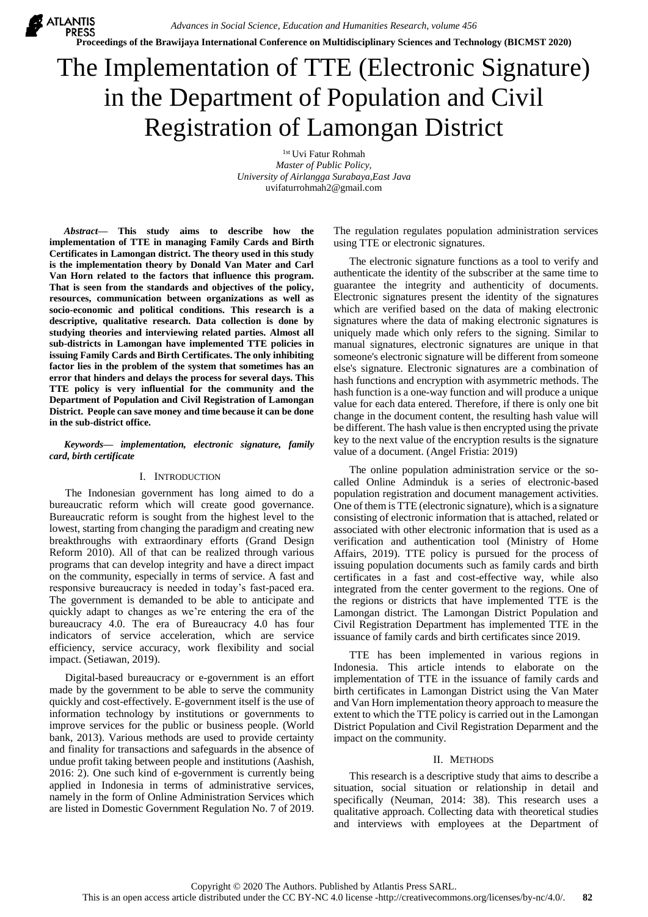**X** ATLANTIS *Advances in Social Science, Education and Humanities Research, volume 456* **Proceedings of the Brawijaya International Conference on Multidisciplinary Sciences and Technology (BICMST 2020)**

# The Implementation of TTE (Electronic Signature) in the Department of Population and Civil Registration of Lamongan District

1st Uvi Fatur Rohmah *Master of Public Policy, University of Airlangga Surabaya,East Java* uvifaturrohmah2@gmail.com

*Abstract***— This study aims to describe how the implementation of TTE in managing Family Cards and Birth Certificates in Lamongan district. The theory used in this study is the implementation theory by Donald Van Mater and Carl Van Horn related to the factors that influence this program. That is seen from the standards and objectives of the policy, resources, communication between organizations as well as socio-economic and political conditions. This research is a descriptive, qualitative research. Data collection is done by studying theories and interviewing related parties. Almost all sub-districts in Lamongan have implemented TTE policies in issuing Family Cards and Birth Certificates. The only inhibiting factor lies in the problem of the system that sometimes has an error that hinders and delays the process for several days. This TTE policy is very influential for the community and the Department of Population and Civil Registration of Lamongan District. People can save money and time because it can be done in the sub-district office.**

## *Keywords— implementation, electronic signature, family card, birth certificate*

### I. INTRODUCTION

The Indonesian government has long aimed to do a bureaucratic reform which will create good governance. Bureaucratic reform is sought from the highest level to the lowest, starting from changing the paradigm and creating new breakthroughs with extraordinary efforts (Grand Design Reform 2010). All of that can be realized through various programs that can develop integrity and have a direct impact on the community, especially in terms of service. A fast and responsive bureaucracy is needed in today's fast-paced era. The government is demanded to be able to anticipate and quickly adapt to changes as we're entering the era of the bureaucracy 4.0. The era of Bureaucracy 4.0 has four indicators of service acceleration, which are service efficiency, service accuracy, work flexibility and social impact. (Setiawan, 2019).

Digital-based bureaucracy or e-government is an effort made by the government to be able to serve the community quickly and cost-effectively. E-government itself is the use of information technology by institutions or governments to improve services for the public or business people. (World bank, 2013). Various methods are used to provide certainty and finality for transactions and safeguards in the absence of undue profit taking between people and institutions (Aashish, 2016: 2). One such kind of e-government is currently being applied in Indonesia in terms of administrative services, namely in the form of Online Administration Services which are listed in Domestic Government Regulation No. 7 of 2019.

The regulation regulates population administration services using TTE or electronic signatures.

The electronic signature functions as a tool to verify and authenticate the identity of the subscriber at the same time to guarantee the integrity and authenticity of documents. Electronic signatures present the identity of the signatures which are verified based on the data of making electronic signatures where the data of making electronic signatures is uniquely made which only refers to the signing. Similar to manual signatures, electronic signatures are unique in that someone's electronic signature will be different from someone else's signature. Electronic signatures are a combination of hash functions and encryption with asymmetric methods. The hash function is a one-way function and will produce a unique value for each data entered. Therefore, if there is only one bit change in the document content, the resulting hash value will be different. The hash value is then encrypted using the private key to the next value of the encryption results is the signature value of a document. (Angel Fristia: 2019)

The online population administration service or the socalled Online Adminduk is a series of electronic-based population registration and document management activities. One of them is TTE (electronic signature), which is a signature consisting of electronic information that is attached, related or associated with other electronic information that is used as a verification and authentication tool (Ministry of Home Affairs, 2019). TTE policy is pursued for the process of issuing population documents such as family cards and birth certificates in a fast and cost-effective way, while also integrated from the center goverment to the regions. One of the regions or districts that have implemented TTE is the Lamongan district. The Lamongan District Population and Civil Registration Department has implemented TTE in the issuance of family cards and birth certificates since 2019.

TTE has been implemented in various regions in Indonesia. This article intends to elaborate on the implementation of TTE in the issuance of family cards and birth certificates in Lamongan District using the Van Mater and Van Horn implementation theory approach to measure the extent to which the TTE policy is carried out in the Lamongan District Population and Civil Registration Deparment and the impact on the community.

### II. METHODS

This research is a descriptive study that aims to describe a situation, social situation or relationship in detail and specifically (Neuman, 2014: 38). This research uses a qualitative approach. Collecting data with theoretical studies and interviews with employees at the Department of